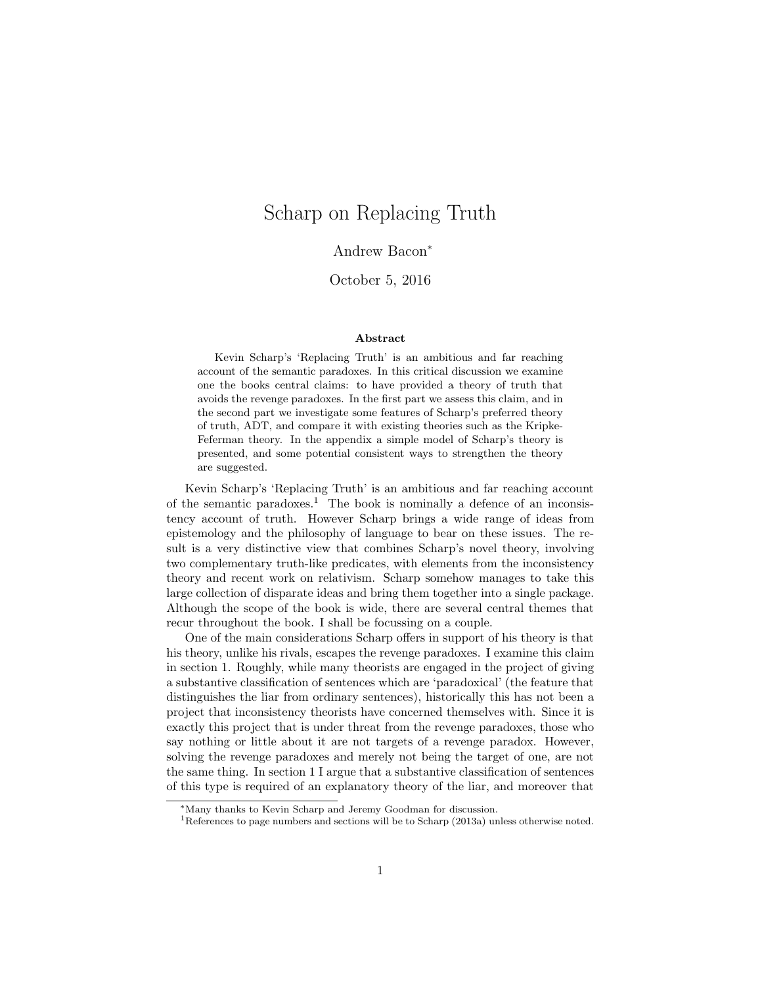# Scharp on Replacing Truth

Andrew Bacon<sup>∗</sup>

October 5, 2016

#### Abstract

Kevin Scharp's 'Replacing Truth' is an ambitious and far reaching account of the semantic paradoxes. In this critical discussion we examine one the books central claims: to have provided a theory of truth that avoids the revenge paradoxes. In the first part we assess this claim, and in the second part we investigate some features of Scharp's preferred theory of truth, ADT, and compare it with existing theories such as the Kripke-Feferman theory. In the appendix a simple model of Scharp's theory is presented, and some potential consistent ways to strengthen the theory are suggested.

Kevin Scharp's 'Replacing Truth' is an ambitious and far reaching account of the semantic paradoxes.<sup>1</sup> The book is nominally a defence of an inconsistency account of truth. However Scharp brings a wide range of ideas from epistemology and the philosophy of language to bear on these issues. The result is a very distinctive view that combines Scharp's novel theory, involving two complementary truth-like predicates, with elements from the inconsistency theory and recent work on relativism. Scharp somehow manages to take this large collection of disparate ideas and bring them together into a single package. Although the scope of the book is wide, there are several central themes that recur throughout the book. I shall be focussing on a couple.

One of the main considerations Scharp offers in support of his theory is that his theory, unlike his rivals, escapes the revenge paradoxes. I examine this claim in section 1. Roughly, while many theorists are engaged in the project of giving a substantive classification of sentences which are 'paradoxical' (the feature that distinguishes the liar from ordinary sentences), historically this has not been a project that inconsistency theorists have concerned themselves with. Since it is exactly this project that is under threat from the revenge paradoxes, those who say nothing or little about it are not targets of a revenge paradox. However, solving the revenge paradoxes and merely not being the target of one, are not the same thing. In section 1 I argue that a substantive classification of sentences of this type is required of an explanatory theory of the liar, and moreover that

<sup>∗</sup>Many thanks to Kevin Scharp and Jeremy Goodman for discussion.

<sup>&</sup>lt;sup>1</sup>References to page numbers and sections will be to Scharp (2013a) unless otherwise noted.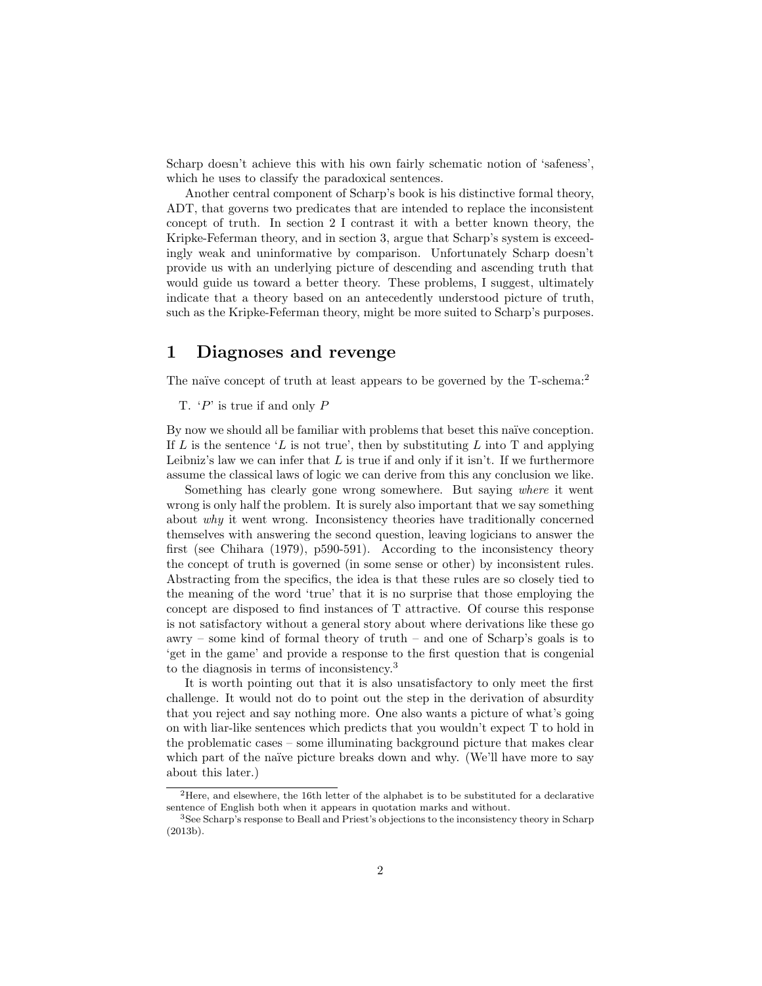Scharp doesn't achieve this with his own fairly schematic notion of 'safeness', which he uses to classify the paradoxical sentences.

Another central component of Scharp's book is his distinctive formal theory, ADT, that governs two predicates that are intended to replace the inconsistent concept of truth. In section 2 I contrast it with a better known theory, the Kripke-Feferman theory, and in section 3, argue that Scharp's system is exceedingly weak and uninformative by comparison. Unfortunately Scharp doesn't provide us with an underlying picture of descending and ascending truth that would guide us toward a better theory. These problems, I suggest, ultimately indicate that a theory based on an antecedently understood picture of truth, such as the Kripke-Feferman theory, might be more suited to Scharp's purposes.

## 1 Diagnoses and revenge

The naïve concept of truth at least appears to be governed by the  $T\text{-}schema$ <sup>2</sup>

T.  $P'$  is true if and only P

By now we should all be familiar with problems that beset this naïve conception. If  $L$  is the sentence 'L is not true', then by substituting  $L$  into T and applying Leibniz's law we can infer that  $L$  is true if and only if it isn't. If we furthermore assume the classical laws of logic we can derive from this any conclusion we like.

Something has clearly gone wrong somewhere. But saying where it went wrong is only half the problem. It is surely also important that we say something about why it went wrong. Inconsistency theories have traditionally concerned themselves with answering the second question, leaving logicians to answer the first (see Chihara (1979), p590-591). According to the inconsistency theory the concept of truth is governed (in some sense or other) by inconsistent rules. Abstracting from the specifics, the idea is that these rules are so closely tied to the meaning of the word 'true' that it is no surprise that those employing the concept are disposed to find instances of T attractive. Of course this response is not satisfactory without a general story about where derivations like these go awry – some kind of formal theory of truth – and one of Scharp's goals is to 'get in the game' and provide a response to the first question that is congenial to the diagnosis in terms of inconsistency.<sup>3</sup>

It is worth pointing out that it is also unsatisfactory to only meet the first challenge. It would not do to point out the step in the derivation of absurdity that you reject and say nothing more. One also wants a picture of what's going on with liar-like sentences which predicts that you wouldn't expect T to hold in the problematic cases – some illuminating background picture that makes clear which part of the naïve picture breaks down and why. (We'll have more to say about this later.)

<sup>2</sup>Here, and elsewhere, the 16th letter of the alphabet is to be substituted for a declarative sentence of English both when it appears in quotation marks and without.

<sup>&</sup>lt;sup>3</sup>See Scharp's response to Beall and Priest's objections to the inconsistency theory in Scharp (2013b).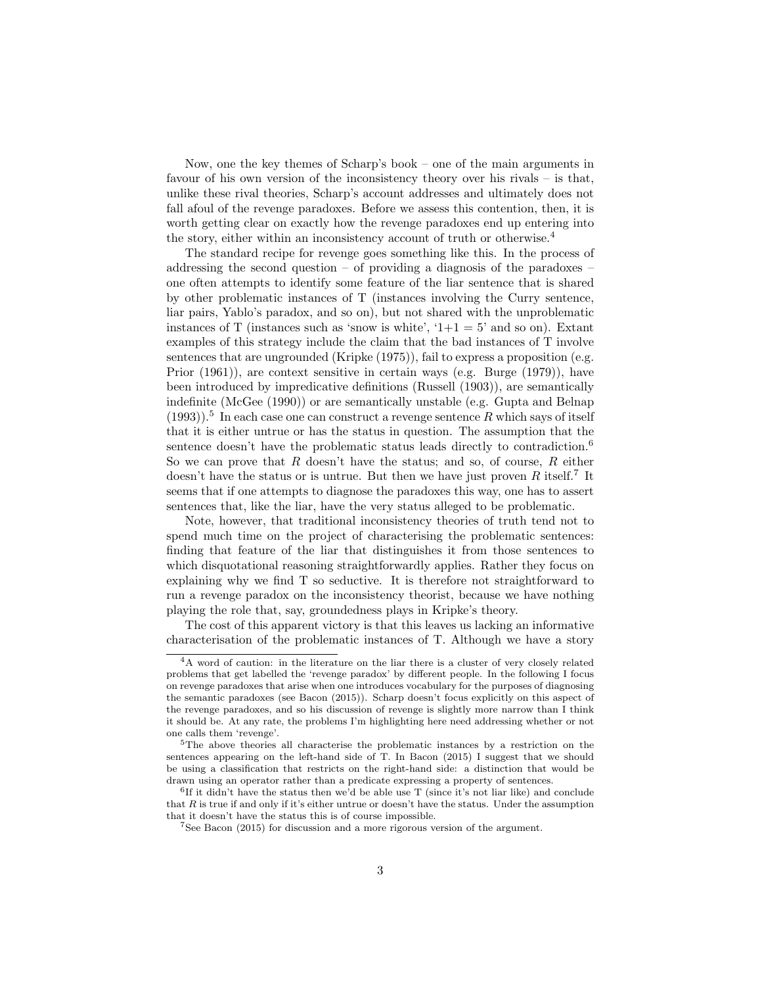Now, one the key themes of Scharp's book – one of the main arguments in favour of his own version of the inconsistency theory over his rivals – is that, unlike these rival theories, Scharp's account addresses and ultimately does not fall afoul of the revenge paradoxes. Before we assess this contention, then, it is worth getting clear on exactly how the revenge paradoxes end up entering into the story, either within an inconsistency account of truth or otherwise.<sup>4</sup>

The standard recipe for revenge goes something like this. In the process of addressing the second question – of providing a diagnosis of the paradoxes – one often attempts to identify some feature of the liar sentence that is shared by other problematic instances of T (instances involving the Curry sentence, liar pairs, Yablo's paradox, and so on), but not shared with the unproblematic instances of T (instances such as 'snow is white',  $1+1=5$ ' and so on). Extant examples of this strategy include the claim that the bad instances of T involve sentences that are ungrounded (Kripke (1975)), fail to express a proposition (e.g. Prior (1961)), are context sensitive in certain ways (e.g. Burge (1979)), have been introduced by impredicative definitions (Russell (1903)), are semantically indefinite (McGee (1990)) or are semantically unstable (e.g. Gupta and Belnap  $(1993)$ .<sup>5</sup> In each case one can construct a revenge sentence R which says of itself that it is either untrue or has the status in question. The assumption that the sentence doesn't have the problematic status leads directly to contradiction.<sup>6</sup> So we can prove that  $R$  doesn't have the status; and so, of course,  $R$  either doesn't have the status or is untrue. But then we have just proven R itself.<sup>7</sup> It seems that if one attempts to diagnose the paradoxes this way, one has to assert sentences that, like the liar, have the very status alleged to be problematic.

Note, however, that traditional inconsistency theories of truth tend not to spend much time on the project of characterising the problematic sentences: finding that feature of the liar that distinguishes it from those sentences to which disquotational reasoning straightforwardly applies. Rather they focus on explaining why we find T so seductive. It is therefore not straightforward to run a revenge paradox on the inconsistency theorist, because we have nothing playing the role that, say, groundedness plays in Kripke's theory.

The cost of this apparent victory is that this leaves us lacking an informative characterisation of the problematic instances of T. Although we have a story

<sup>&</sup>lt;sup>4</sup>A word of caution: in the literature on the liar there is a cluster of very closely related problems that get labelled the 'revenge paradox' by different people. In the following I focus on revenge paradoxes that arise when one introduces vocabulary for the purposes of diagnosing the semantic paradoxes (see Bacon (2015)). Scharp doesn't focus explicitly on this aspect of the revenge paradoxes, and so his discussion of revenge is slightly more narrow than I think it should be. At any rate, the problems I'm highlighting here need addressing whether or not one calls them 'revenge'.

<sup>5</sup>The above theories all characterise the problematic instances by a restriction on the sentences appearing on the left-hand side of T. In Bacon (2015) I suggest that we should be using a classification that restricts on the right-hand side: a distinction that would be drawn using an operator rather than a predicate expressing a property of sentences.

<sup>6</sup> If it didn't have the status then we'd be able use T (since it's not liar like) and conclude that  $R$  is true if and only if it's either untrue or doesn't have the status. Under the assumption that it doesn't have the status this is of course impossible.

<sup>7</sup>See Bacon (2015) for discussion and a more rigorous version of the argument.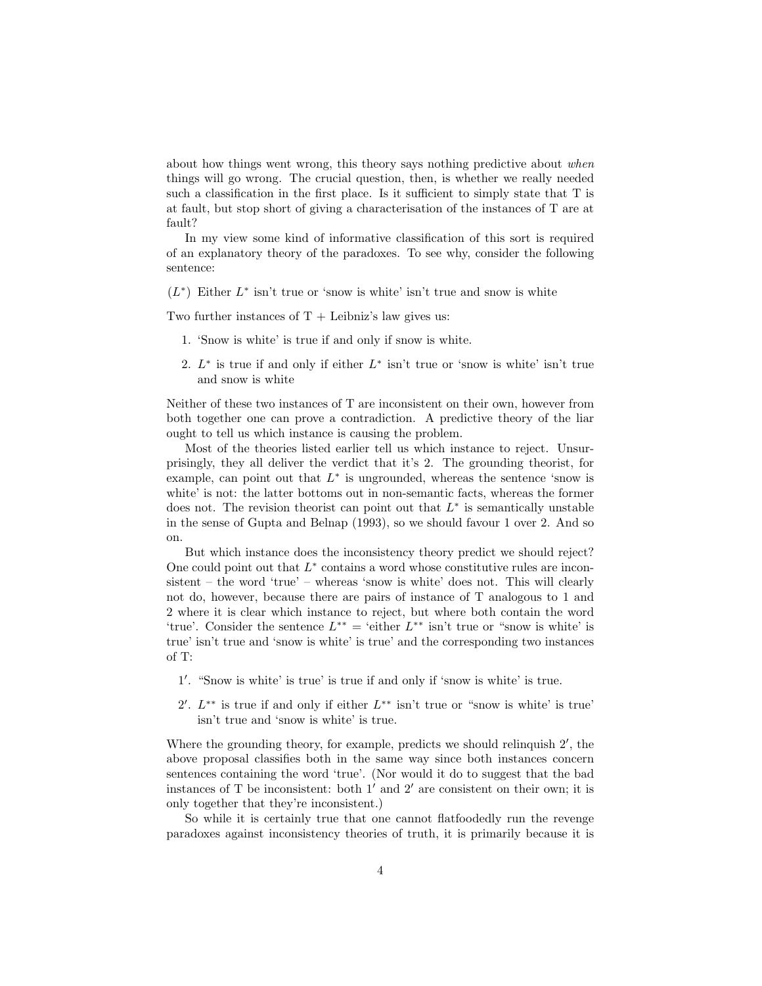about how things went wrong, this theory says nothing predictive about when things will go wrong. The crucial question, then, is whether we really needed such a classification in the first place. Is it sufficient to simply state that T is at fault, but stop short of giving a characterisation of the instances of T are at fault?

In my view some kind of informative classification of this sort is required of an explanatory theory of the paradoxes. To see why, consider the following sentence:

 $(L^*)$  Either  $L^*$  isn't true or 'snow is white' isn't true and snow is white

Two further instances of  $T +$  Leibniz's law gives us:

- 1. 'Snow is white' is true if and only if snow is white.
- 2.  $L^*$  is true if and only if either  $L^*$  isn't true or 'snow is white' isn't true and snow is white

Neither of these two instances of T are inconsistent on their own, however from both together one can prove a contradiction. A predictive theory of the liar ought to tell us which instance is causing the problem.

Most of the theories listed earlier tell us which instance to reject. Unsurprisingly, they all deliver the verdict that it's 2. The grounding theorist, for example, can point out that  $L^*$  is ungrounded, whereas the sentence 'snow is white' is not: the latter bottoms out in non-semantic facts, whereas the former does not. The revision theorist can point out that  $L^*$  is semantically unstable in the sense of Gupta and Belnap (1993), so we should favour 1 over 2. And so on.

But which instance does the inconsistency theory predict we should reject? One could point out that  $L^*$  contains a word whose constitutive rules are inconsistent – the word 'true' – whereas 'snow is white' does not. This will clearly not do, however, because there are pairs of instance of T analogous to 1 and 2 where it is clear which instance to reject, but where both contain the word 'true'. Consider the sentence  $L^{**} =$  'either  $L^{**}$  isn't true or "snow is white' is true' isn't true and 'snow is white' is true' and the corresponding two instances of T:

- 1 0 . "Snow is white' is true' is true if and only if 'snow is white' is true.
- 2'.  $L^{**}$  is true if and only if either  $L^{**}$  isn't true or "snow is white' is true" isn't true and 'snow is white' is true.

Where the grounding theory, for example, predicts we should relinquish  $2'$ , the above proposal classifies both in the same way since both instances concern sentences containing the word 'true'. (Nor would it do to suggest that the bad instances of T be inconsistent: both  $1'$  and  $2'$  are consistent on their own; it is only together that they're inconsistent.)

So while it is certainly true that one cannot flatfoodedly run the revenge paradoxes against inconsistency theories of truth, it is primarily because it is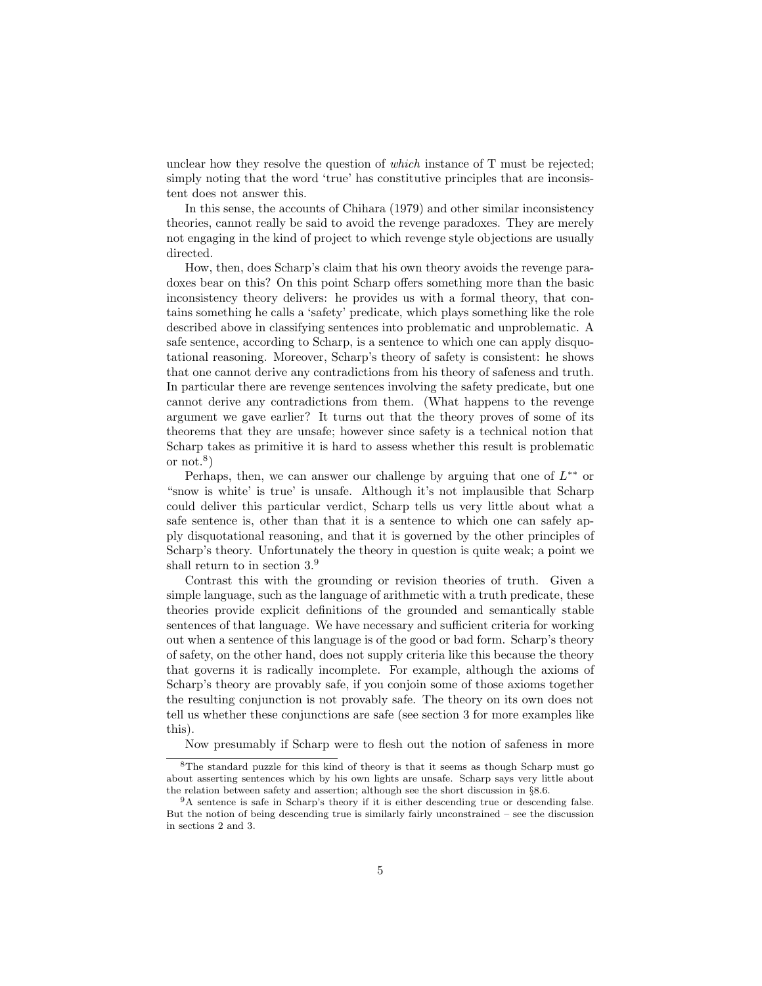unclear how they resolve the question of *which* instance of T must be rejected; simply noting that the word 'true' has constitutive principles that are inconsistent does not answer this.

In this sense, the accounts of Chihara (1979) and other similar inconsistency theories, cannot really be said to avoid the revenge paradoxes. They are merely not engaging in the kind of project to which revenge style objections are usually directed.

How, then, does Scharp's claim that his own theory avoids the revenge paradoxes bear on this? On this point Scharp offers something more than the basic inconsistency theory delivers: he provides us with a formal theory, that contains something he calls a 'safety' predicate, which plays something like the role described above in classifying sentences into problematic and unproblematic. A safe sentence, according to Scharp, is a sentence to which one can apply disquotational reasoning. Moreover, Scharp's theory of safety is consistent: he shows that one cannot derive any contradictions from his theory of safeness and truth. In particular there are revenge sentences involving the safety predicate, but one cannot derive any contradictions from them. (What happens to the revenge argument we gave earlier? It turns out that the theory proves of some of its theorems that they are unsafe; however since safety is a technical notion that Scharp takes as primitive it is hard to assess whether this result is problematic or  $not.^8$ )

Perhaps, then, we can answer our challenge by arguing that one of  $L^{**}$  or "snow is white' is true' is unsafe. Although it's not implausible that Scharp could deliver this particular verdict, Scharp tells us very little about what a safe sentence is, other than that it is a sentence to which one can safely apply disquotational reasoning, and that it is governed by the other principles of Scharp's theory. Unfortunately the theory in question is quite weak; a point we shall return to in section 3.<sup>9</sup>

Contrast this with the grounding or revision theories of truth. Given a simple language, such as the language of arithmetic with a truth predicate, these theories provide explicit definitions of the grounded and semantically stable sentences of that language. We have necessary and sufficient criteria for working out when a sentence of this language is of the good or bad form. Scharp's theory of safety, on the other hand, does not supply criteria like this because the theory that governs it is radically incomplete. For example, although the axioms of Scharp's theory are provably safe, if you conjoin some of those axioms together the resulting conjunction is not provably safe. The theory on its own does not tell us whether these conjunctions are safe (see section 3 for more examples like this).

Now presumably if Scharp were to flesh out the notion of safeness in more

<sup>8</sup>The standard puzzle for this kind of theory is that it seems as though Scharp must go about asserting sentences which by his own lights are unsafe. Scharp says very little about the relation between safety and assertion; although see the short discussion in §8.6.

<sup>9</sup>A sentence is safe in Scharp's theory if it is either descending true or descending false. But the notion of being descending true is similarly fairly unconstrained – see the discussion in sections 2 and 3.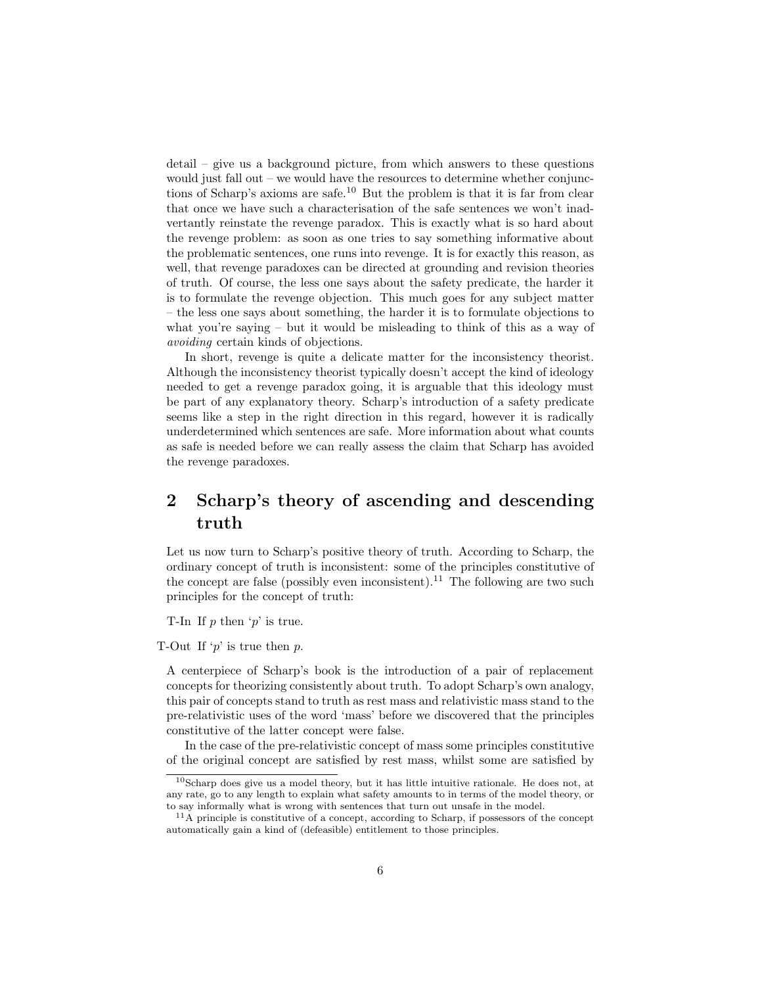detail – give us a background picture, from which answers to these questions would just fall out – we would have the resources to determine whether conjunctions of Scharp's axioms are safe.<sup>10</sup> But the problem is that it is far from clear that once we have such a characterisation of the safe sentences we won't inadvertantly reinstate the revenge paradox. This is exactly what is so hard about the revenge problem: as soon as one tries to say something informative about the problematic sentences, one runs into revenge. It is for exactly this reason, as well, that revenge paradoxes can be directed at grounding and revision theories of truth. Of course, the less one says about the safety predicate, the harder it is to formulate the revenge objection. This much goes for any subject matter – the less one says about something, the harder it is to formulate objections to what you're saying – but it would be misleading to think of this as a way of avoiding certain kinds of objections.

In short, revenge is quite a delicate matter for the inconsistency theorist. Although the inconsistency theorist typically doesn't accept the kind of ideology needed to get a revenge paradox going, it is arguable that this ideology must be part of any explanatory theory. Scharp's introduction of a safety predicate seems like a step in the right direction in this regard, however it is radically underdetermined which sentences are safe. More information about what counts as safe is needed before we can really assess the claim that Scharp has avoided the revenge paradoxes.

## 2 Scharp's theory of ascending and descending truth

Let us now turn to Scharp's positive theory of truth. According to Scharp, the ordinary concept of truth is inconsistent: some of the principles constitutive of the concept are false (possibly even inconsistent).<sup>11</sup> The following are two such principles for the concept of truth:

T-In If  $p$  then ' $p$ ' is true.

T-Out If 'p' is true then  $p$ .

A centerpiece of Scharp's book is the introduction of a pair of replacement concepts for theorizing consistently about truth. To adopt Scharp's own analogy, this pair of concepts stand to truth as rest mass and relativistic mass stand to the pre-relativistic uses of the word 'mass' before we discovered that the principles constitutive of the latter concept were false.

In the case of the pre-relativistic concept of mass some principles constitutive of the original concept are satisfied by rest mass, whilst some are satisfied by

 $10$ Scharp does give us a model theory, but it has little intuitive rationale. He does not, at any rate, go to any length to explain what safety amounts to in terms of the model theory, or to say informally what is wrong with sentences that turn out unsafe in the model.

 $11A$  principle is constitutive of a concept, according to Scharp, if possessors of the concept automatically gain a kind of (defeasible) entitlement to those principles.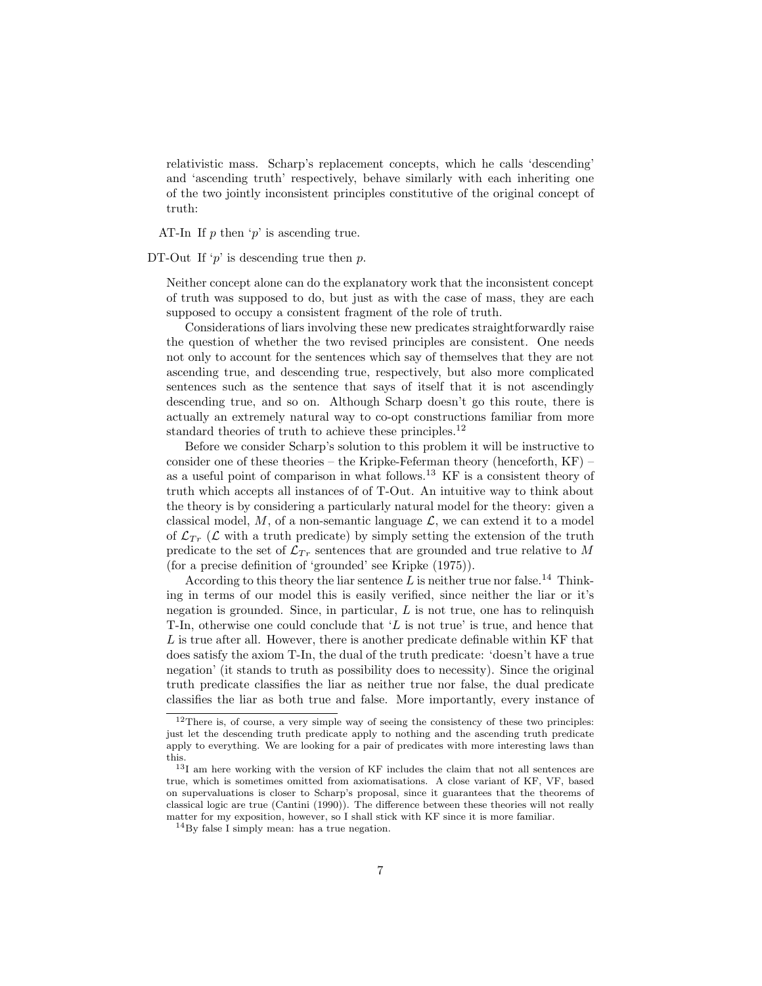relativistic mass. Scharp's replacement concepts, which he calls 'descending' and 'ascending truth' respectively, behave similarly with each inheriting one of the two jointly inconsistent principles constitutive of the original concept of truth:

AT-In If  $p$  then ' $p$ ' is ascending true.

#### DT-Out If  $p'$  is descending true then p.

Neither concept alone can do the explanatory work that the inconsistent concept of truth was supposed to do, but just as with the case of mass, they are each supposed to occupy a consistent fragment of the role of truth.

Considerations of liars involving these new predicates straightforwardly raise the question of whether the two revised principles are consistent. One needs not only to account for the sentences which say of themselves that they are not ascending true, and descending true, respectively, but also more complicated sentences such as the sentence that says of itself that it is not ascendingly descending true, and so on. Although Scharp doesn't go this route, there is actually an extremely natural way to co-opt constructions familiar from more standard theories of truth to achieve these principles.<sup>12</sup>

Before we consider Scharp's solution to this problem it will be instructive to consider one of these theories – the Kripke-Feferman theory (henceforth, KF) – as a useful point of comparison in what follows.<sup>13</sup> KF is a consistent theory of truth which accepts all instances of of T-Out. An intuitive way to think about the theory is by considering a particularly natural model for the theory: given a classical model,  $M$ , of a non-semantic language  $\mathcal{L}$ , we can extend it to a model of  $\mathcal{L}_{Tr}$  ( $\mathcal{L}$  with a truth predicate) by simply setting the extension of the truth predicate to the set of  $\mathcal{L}_{Tr}$  sentences that are grounded and true relative to M (for a precise definition of 'grounded' see Kripke (1975)).

According to this theory the liar sentence  $L$  is neither true nor false.<sup>14</sup> Thinking in terms of our model this is easily verified, since neither the liar or it's negation is grounded. Since, in particular,  $L$  is not true, one has to relinquish T-In, otherwise one could conclude that  $'L$  is not true' is true, and hence that L is true after all. However, there is another predicate definable within KF that does satisfy the axiom T-In, the dual of the truth predicate: 'doesn't have a true negation' (it stands to truth as possibility does to necessity). Since the original truth predicate classifies the liar as neither true nor false, the dual predicate classifies the liar as both true and false. More importantly, every instance of

 $12$ There is, of course, a very simple way of seeing the consistency of these two principles: just let the descending truth predicate apply to nothing and the ascending truth predicate apply to everything. We are looking for a pair of predicates with more interesting laws than this.

<sup>&</sup>lt;sup>13</sup>I am here working with the version of KF includes the claim that not all sentences are true, which is sometimes omitted from axiomatisations. A close variant of KF, VF, based on supervaluations is closer to Scharp's proposal, since it guarantees that the theorems of classical logic are true (Cantini (1990)). The difference between these theories will not really matter for my exposition, however, so I shall stick with KF since it is more familiar.

<sup>14</sup>By false I simply mean: has a true negation.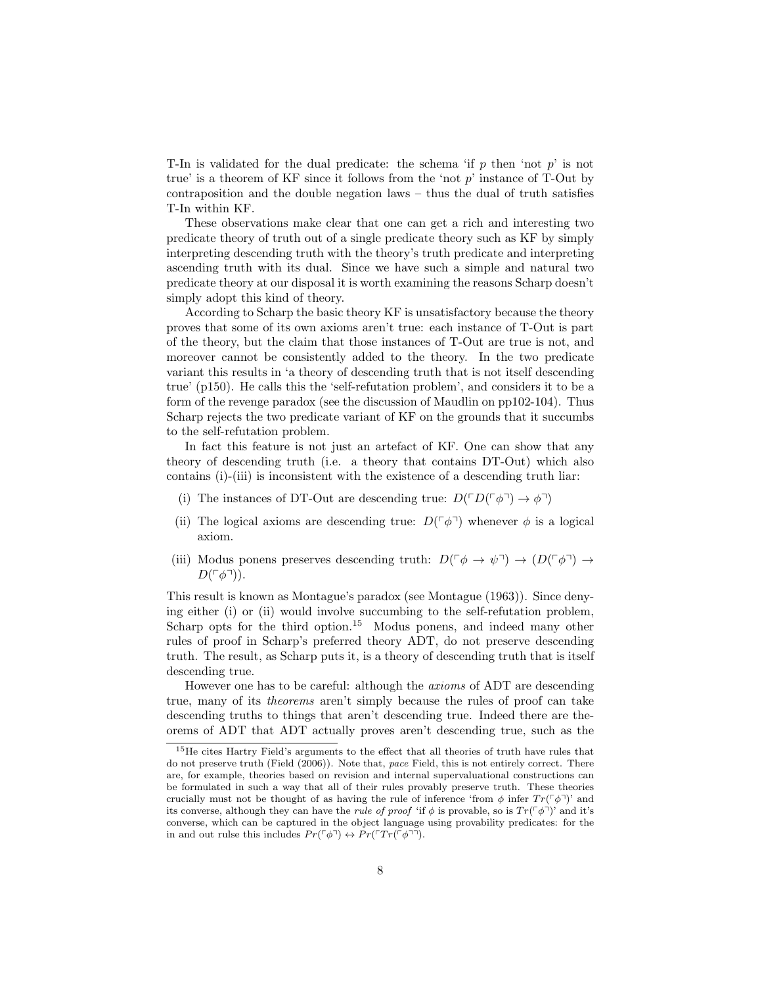T-In is validated for the dual predicate: the schema 'if  $p$  then 'not  $p'$  is not true' is a theorem of KF since it follows from the 'not  $p$ ' instance of T-Out by contraposition and the double negation laws – thus the dual of truth satisfies T-In within KF.

These observations make clear that one can get a rich and interesting two predicate theory of truth out of a single predicate theory such as KF by simply interpreting descending truth with the theory's truth predicate and interpreting ascending truth with its dual. Since we have such a simple and natural two predicate theory at our disposal it is worth examining the reasons Scharp doesn't simply adopt this kind of theory.

According to Scharp the basic theory KF is unsatisfactory because the theory proves that some of its own axioms aren't true: each instance of T-Out is part of the theory, but the claim that those instances of T-Out are true is not, and moreover cannot be consistently added to the theory. In the two predicate variant this results in 'a theory of descending truth that is not itself descending true' (p150). He calls this the 'self-refutation problem', and considers it to be a form of the revenge paradox (see the discussion of Maudlin on pp102-104). Thus Scharp rejects the two predicate variant of KF on the grounds that it succumbs to the self-refutation problem.

In fact this feature is not just an artefact of KF. One can show that any theory of descending truth (i.e. a theory that contains DT-Out) which also contains (i)-(iii) is inconsistent with the existence of a descending truth liar:

- (i) The instances of DT-Out are descending true:  $D(\ulcorner D(\ulcorner\phi\urcorner)\rightarrow\phi\urcorner)$
- (ii) The logical axioms are descending true:  $D(\ulcorner \phi \urcorner)$  whenever  $\phi$  is a logical axiom.
- (iii) Modus ponens preserves descending truth:  $D(\ulcorner \phi \rightarrow \psi \urcorner) \rightarrow (D(\ulcorner \phi \urcorner) \rightarrow$  $D(\ulcorner\phi\urcorner)).$

This result is known as Montague's paradox (see Montague (1963)). Since denying either (i) or (ii) would involve succumbing to the self-refutation problem, Scharp opts for the third option.<sup>15</sup> Modus ponens, and indeed many other rules of proof in Scharp's preferred theory ADT, do not preserve descending truth. The result, as Scharp puts it, is a theory of descending truth that is itself descending true.

However one has to be careful: although the axioms of ADT are descending true, many of its theorems aren't simply because the rules of proof can take descending truths to things that aren't descending true. Indeed there are theorems of ADT that ADT actually proves aren't descending true, such as the

<sup>15</sup>He cites Hartry Field's arguments to the effect that all theories of truth have rules that do not preserve truth (Field (2006)). Note that, pace Field, this is not entirely correct. There are, for example, theories based on revision and internal supervaluational constructions can be formulated in such a way that all of their rules provably preserve truth. These theories crucially must not be thought of as having the rule of inference 'from  $\phi$  infer  $Tr(\ulcorner \phi \urcorner)'$  and its converse, although they can have the *rule of proof* 'if  $\phi$  is provable, so is  $Tr(\ulcorner \phi \urcorner)'$  and it's converse, which can be captured in the object language using provability predicates: for the in and out rulse this includes  $Pr(\ulcorner \phi \urcorner) \leftrightarrow Pr(\ulcorner Tr(\ulcorner \phi \urcorner \urcorner).$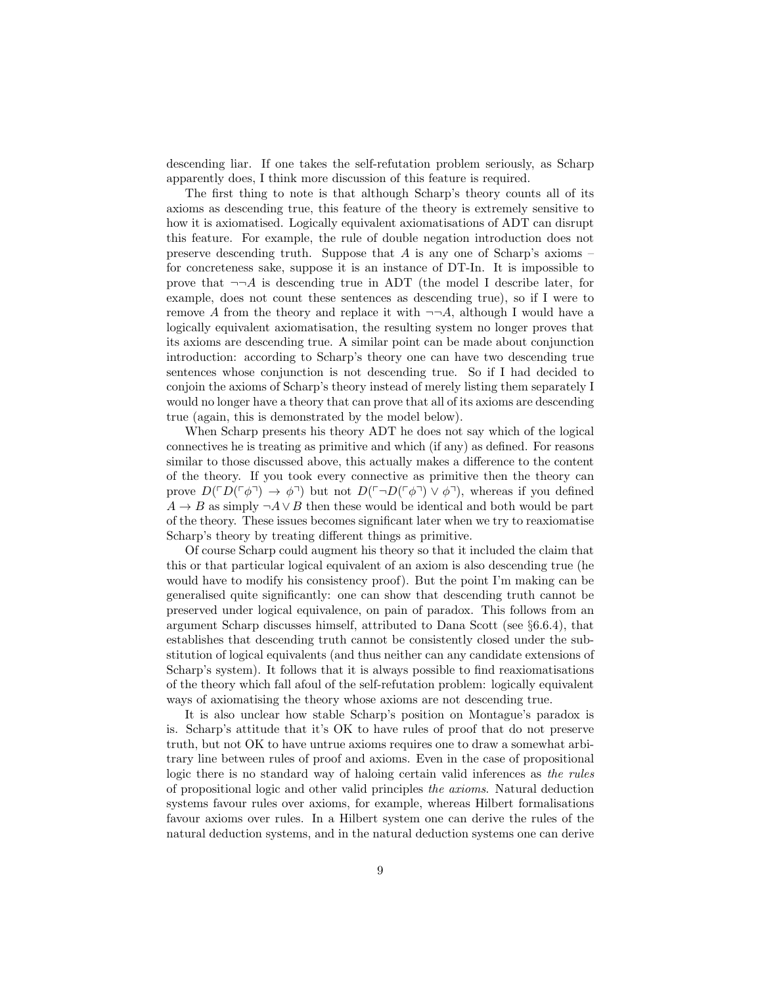descending liar. If one takes the self-refutation problem seriously, as Scharp apparently does, I think more discussion of this feature is required.

The first thing to note is that although Scharp's theory counts all of its axioms as descending true, this feature of the theory is extremely sensitive to how it is axiomatised. Logically equivalent axiomatisations of ADT can disrupt this feature. For example, the rule of double negation introduction does not preserve descending truth. Suppose that  $A$  is any one of Scharp's axioms – for concreteness sake, suppose it is an instance of DT-In. It is impossible to prove that  $\neg\neg A$  is descending true in ADT (the model I describe later, for example, does not count these sentences as descending true), so if I were to remove A from the theory and replace it with  $\neg A$ , although I would have a logically equivalent axiomatisation, the resulting system no longer proves that its axioms are descending true. A similar point can be made about conjunction introduction: according to Scharp's theory one can have two descending true sentences whose conjunction is not descending true. So if I had decided to conjoin the axioms of Scharp's theory instead of merely listing them separately I would no longer have a theory that can prove that all of its axioms are descending true (again, this is demonstrated by the model below).

When Scharp presents his theory ADT he does not say which of the logical connectives he is treating as primitive and which (if any) as defined. For reasons similar to those discussed above, this actually makes a difference to the content of the theory. If you took every connective as primitive then the theory can prove  $D(\ulcorner D(\ulcorner\phi\urcorner)\rightarrow\phi\urcorner)$  but not  $D(\ulcorner\neg D(\ulcorner\phi\urcorner)\vee\phi\urcorner)$ , whereas if you defined  $A \rightarrow B$  as simply  $\neg A \vee B$  then these would be identical and both would be part of the theory. These issues becomes significant later when we try to reaxiomatise Scharp's theory by treating different things as primitive.

Of course Scharp could augment his theory so that it included the claim that this or that particular logical equivalent of an axiom is also descending true (he would have to modify his consistency proof). But the point I'm making can be generalised quite significantly: one can show that descending truth cannot be preserved under logical equivalence, on pain of paradox. This follows from an argument Scharp discusses himself, attributed to Dana Scott (see §6.6.4), that establishes that descending truth cannot be consistently closed under the substitution of logical equivalents (and thus neither can any candidate extensions of Scharp's system). It follows that it is always possible to find reaxiomatisations of the theory which fall afoul of the self-refutation problem: logically equivalent ways of axiomatising the theory whose axioms are not descending true.

It is also unclear how stable Scharp's position on Montague's paradox is is. Scharp's attitude that it's OK to have rules of proof that do not preserve truth, but not OK to have untrue axioms requires one to draw a somewhat arbitrary line between rules of proof and axioms. Even in the case of propositional logic there is no standard way of haloing certain valid inferences as the rules of propositional logic and other valid principles the axioms. Natural deduction systems favour rules over axioms, for example, whereas Hilbert formalisations favour axioms over rules. In a Hilbert system one can derive the rules of the natural deduction systems, and in the natural deduction systems one can derive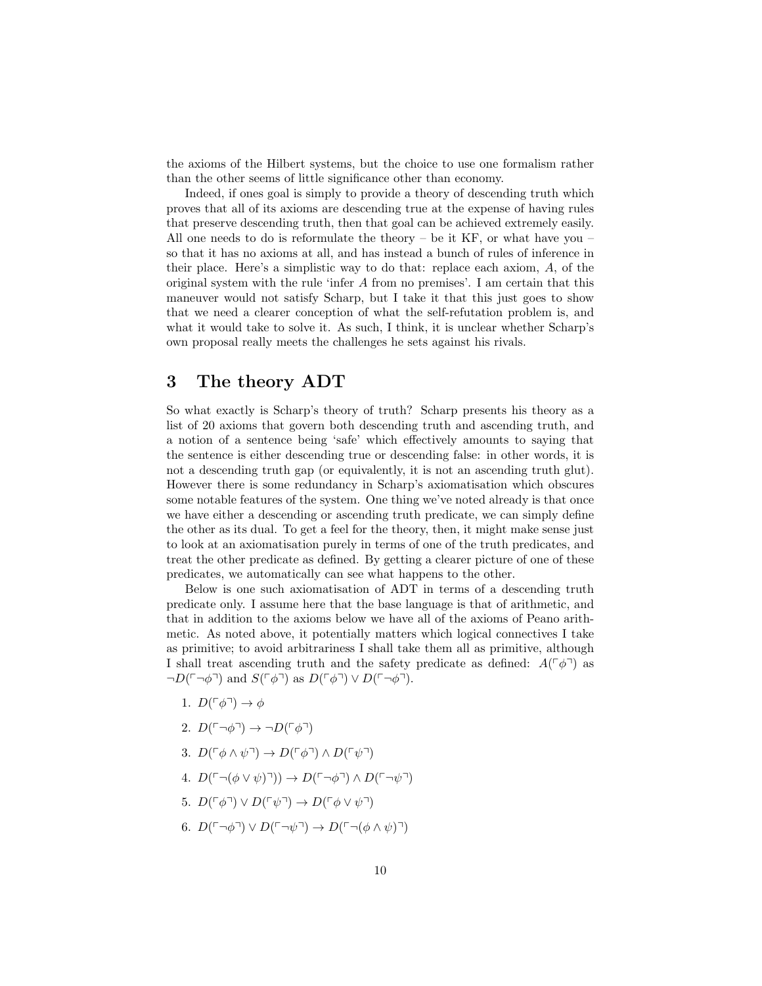the axioms of the Hilbert systems, but the choice to use one formalism rather than the other seems of little significance other than economy.

Indeed, if ones goal is simply to provide a theory of descending truth which proves that all of its axioms are descending true at the expense of having rules that preserve descending truth, then that goal can be achieved extremely easily. All one needs to do is reformulate the theory – be it KF, or what have you – so that it has no axioms at all, and has instead a bunch of rules of inference in their place. Here's a simplistic way to do that: replace each axiom, A, of the original system with the rule 'infer  $A$  from no premises'. I am certain that this maneuver would not satisfy Scharp, but I take it that this just goes to show that we need a clearer conception of what the self-refutation problem is, and what it would take to solve it. As such, I think, it is unclear whether Scharp's own proposal really meets the challenges he sets against his rivals.

## 3 The theory ADT

So what exactly is Scharp's theory of truth? Scharp presents his theory as a list of 20 axioms that govern both descending truth and ascending truth, and a notion of a sentence being 'safe' which effectively amounts to saying that the sentence is either descending true or descending false: in other words, it is not a descending truth gap (or equivalently, it is not an ascending truth glut). However there is some redundancy in Scharp's axiomatisation which obscures some notable features of the system. One thing we've noted already is that once we have either a descending or ascending truth predicate, we can simply define the other as its dual. To get a feel for the theory, then, it might make sense just to look at an axiomatisation purely in terms of one of the truth predicates, and treat the other predicate as defined. By getting a clearer picture of one of these predicates, we automatically can see what happens to the other.

Below is one such axiomatisation of ADT in terms of a descending truth predicate only. I assume here that the base language is that of arithmetic, and that in addition to the axioms below we have all of the axioms of Peano arithmetic. As noted above, it potentially matters which logical connectives I take as primitive; to avoid arbitrariness I shall take them all as primitive, although I shall treat ascending truth and the safety predicate as defined:  $A(\ulcorner \phi \urcorner)$  as  $\neg D(\ulcorner\neg \phi\urcorner)$  and  $S(\ulcorner \phi\urcorner)$  as  $D(\ulcorner \phi\urcorner) \lor D(\ulcorner \neg \phi\urcorner).$ 

- 1.  $D(\ulcorner \phi \urcorner) \rightarrow \phi$
- 2.  $D(\ulcorner\neg\phi\urcorner)\rightarrow \neg D(\ulcorner\phi\urcorner)$
- 3.  $D(\ulcorner \phi \land \psi \urcorner) \to D(\ulcorner \phi \urcorner) \land D(\ulcorner \psi \urcorner)$
- 4.  $D(\ulcorner\neg(\phi \lor \psi)\urcorner)) \to D(\ulcorner\neg \phi\urcorner) \land D(\ulcorner\neg \psi\urcorner)$
- 5.  $D(\ulcorner \phi \urcorner) \lor D(\ulcorner \psi \urcorner) \to D(\ulcorner \phi \lor \psi \urcorner)$
- 6.  $D(\ulcorner\neg\phi\urcorner)\lor D(\ulcorner\neg\psi\urcorner)\to D(\ulcorner\neg(\phi\land\psi)\urcorner)$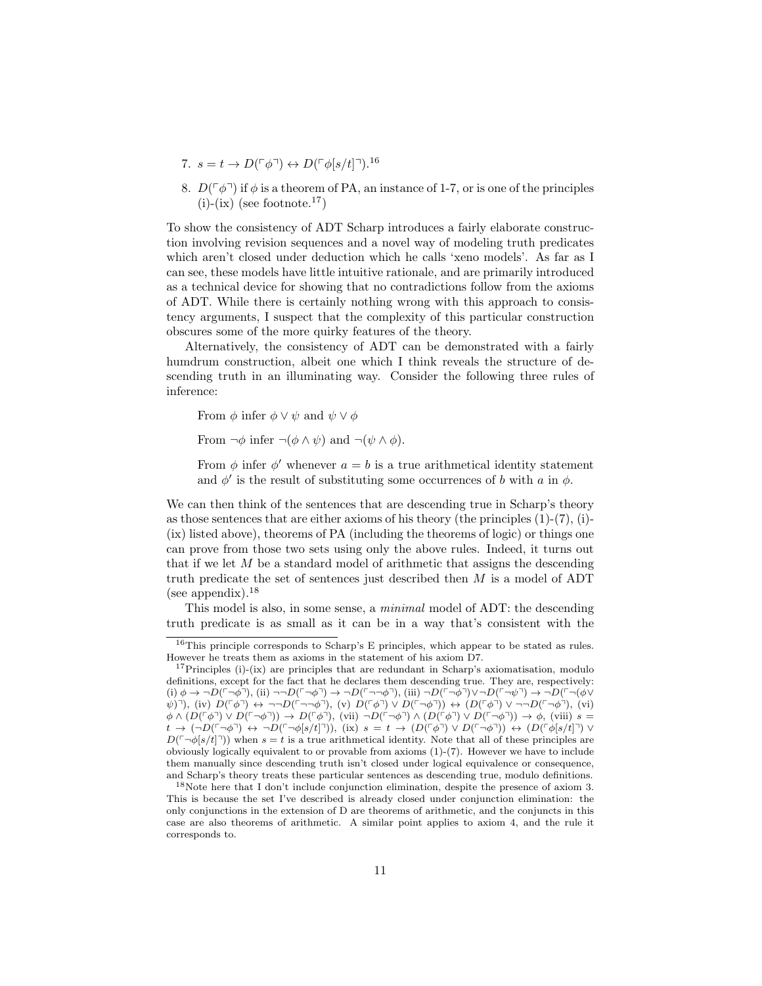- 7.  $s = t \rightarrow D(\ulcorner \phi \urcorner) \leftrightarrow D(\ulcorner \phi[s/t] \urcorner).^{16}$
- 8.  $D(\ulcorner \phi \urcorner)$  if  $\phi$  is a theorem of PA, an instance of 1-7, or is one of the principles  $(i)$ - $(ix)$  (see footnote.<sup>17</sup>)

To show the consistency of ADT Scharp introduces a fairly elaborate construction involving revision sequences and a novel way of modeling truth predicates which aren't closed under deduction which he calls 'xeno models'. As far as I can see, these models have little intuitive rationale, and are primarily introduced as a technical device for showing that no contradictions follow from the axioms of ADT. While there is certainly nothing wrong with this approach to consistency arguments, I suspect that the complexity of this particular construction obscures some of the more quirky features of the theory.

Alternatively, the consistency of ADT can be demonstrated with a fairly humdrum construction, albeit one which I think reveals the structure of descending truth in an illuminating way. Consider the following three rules of inference:

From  $\phi$  infer  $\phi \vee \psi$  and  $\psi \vee \phi$ 

From  $\neg \phi$  infer  $\neg (\phi \land \psi)$  and  $\neg (\psi \land \phi)$ .

From  $\phi$  infer  $\phi'$  whenever  $a = b$  is a true arithmetical identity statement and  $\phi'$  is the result of substituting some occurrences of b with a in  $\phi$ .

We can then think of the sentences that are descending true in Scharp's theory as those sentences that are either axioms of his theory (the principles  $(1)-(7)$ ,  $(i)$ -(ix) listed above), theorems of PA (including the theorems of logic) or things one can prove from those two sets using only the above rules. Indeed, it turns out that if we let  $M$  be a standard model of arithmetic that assigns the descending truth predicate the set of sentences just described then M is a model of ADT (see appendix). $18$ 

This model is also, in some sense, a minimal model of ADT: the descending truth predicate is as small as it can be in a way that's consistent with the

 $16$ This principle corresponds to Scharp's E principles, which appear to be stated as rules. However he treats them as axioms in the statement of his axiom D7.

<sup>17</sup>Principles (i)-(ix) are principles that are redundant in Scharp's axiomatisation, modulo definitions, except for the fact that he declares them descending true. They are, respectively: (i)  $\phi \to \neg D(\ulcorner \neg \phi \urcorner),$  (ii)  $\neg \neg D(\ulcorner \neg \phi \urcorner) \to \neg D(\ulcorner \neg \neg \phi \urcorner),$  (iii)  $\neg D(\ulcorner \neg \phi \urcorner) \lor \neg D(\ulcorner \neg \psi \urcorner) \to \neg D(\ulcorner \neg (\phi \lor \phi \urcorner))$  $(\psi)^{\gamma}$ ), (iv)  $D(\ulcorner \phi \urcorner) \leftrightarrow \neg \neg D(\ulcorner \neg \neg \phi \urcorner)$ , (v)  $D(\ulcorner \phi \urcorner) \lor D(\ulcorner \neg \phi \urcorner)) \leftrightarrow (D(\ulcorner \phi \urcorner) \lor \neg \neg D(\ulcorner \neg \phi \urcorner)$ , (vi)  $\phi \wedge (D(\ulcorner \phi \urcorner) \vee D(\ulcorner \neg \phi \urcorner)) \rightarrow D(\ulcorner \phi \urcorner), \text{ (vii) } \neg D(\ulcorner \neg \phi \urcorner) \wedge (D(\ulcorner \phi \urcorner) \vee D(\ulcorner \neg \phi \urcorner)) \rightarrow \phi, \text{ (viii) } s =$  $t \to (\neg D(\ulcorner \neg \phi \urcorner) \leftrightarrow \neg D(\ulcorner \neg \phi[s/t\urcorner)),$   $(ix)$   $s = t \to (D(\ulcorner \phi \urcorner) \vee D(\ulcorner \neg \phi \urcorner)) \leftrightarrow (D(\ulcorner \phi[s/t\urcorner) \vee D(\ulcorner \phi \urcorner))$  $D(\lceil -\phi[s/t]\rceil)$ ) when  $s = t$  is a true arithmetical identity. Note that all of these principles are obviously logically equivalent to or provable from axioms (1)-(7). However we have to include them manually since descending truth isn't closed under logical equivalence or consequence, and Scharp's theory treats these particular sentences as descending true, modulo definitions.

<sup>18</sup>Note here that I don't include conjunction elimination, despite the presence of axiom 3. This is because the set I've described is already closed under conjunction elimination: the only conjunctions in the extension of D are theorems of arithmetic, and the conjuncts in this case are also theorems of arithmetic. A similar point applies to axiom 4, and the rule it corresponds to.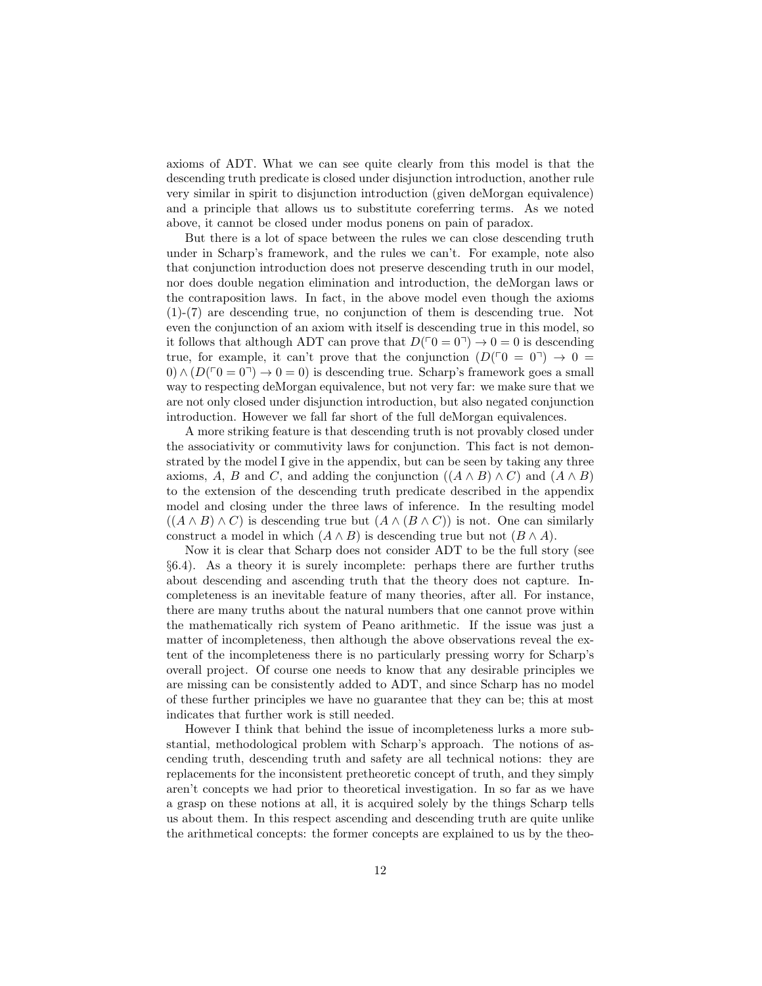axioms of ADT. What we can see quite clearly from this model is that the descending truth predicate is closed under disjunction introduction, another rule very similar in spirit to disjunction introduction (given deMorgan equivalence) and a principle that allows us to substitute coreferring terms. As we noted above, it cannot be closed under modus ponens on pain of paradox.

But there is a lot of space between the rules we can close descending truth under in Scharp's framework, and the rules we can't. For example, note also that conjunction introduction does not preserve descending truth in our model, nor does double negation elimination and introduction, the deMorgan laws or the contraposition laws. In fact, in the above model even though the axioms (1)-(7) are descending true, no conjunction of them is descending true. Not even the conjunction of an axiom with itself is descending true in this model, so it follows that although ADT can prove that  $D(\ulcorner 0 = 0 \urcorner) \rightarrow 0 = 0$  is descending true, for example, it can't prove that the conjunction  $(D(\ulcorner 0 = 0 \urcorner) \rightarrow 0 =$  $0 \wedge (D(\lceil 0 \rceil 0 \rceil) \rightarrow 0 = 0)$  is descending true. Scharp's framework goes a small way to respecting deMorgan equivalence, but not very far: we make sure that we are not only closed under disjunction introduction, but also negated conjunction introduction. However we fall far short of the full deMorgan equivalences.

A more striking feature is that descending truth is not provably closed under the associativity or commutivity laws for conjunction. This fact is not demonstrated by the model I give in the appendix, but can be seen by taking any three axioms, A, B and C, and adding the conjunction  $((A \wedge B) \wedge C)$  and  $(A \wedge B)$ to the extension of the descending truth predicate described in the appendix model and closing under the three laws of inference. In the resulting model  $((A \wedge B) \wedge C)$  is descending true but  $(A \wedge (B \wedge C))$  is not. One can similarly construct a model in which  $(A \wedge B)$  is descending true but not  $(B \wedge A)$ .

Now it is clear that Scharp does not consider ADT to be the full story (see §6.4). As a theory it is surely incomplete: perhaps there are further truths about descending and ascending truth that the theory does not capture. Incompleteness is an inevitable feature of many theories, after all. For instance, there are many truths about the natural numbers that one cannot prove within the mathematically rich system of Peano arithmetic. If the issue was just a matter of incompleteness, then although the above observations reveal the extent of the incompleteness there is no particularly pressing worry for Scharp's overall project. Of course one needs to know that any desirable principles we are missing can be consistently added to ADT, and since Scharp has no model of these further principles we have no guarantee that they can be; this at most indicates that further work is still needed.

However I think that behind the issue of incompleteness lurks a more substantial, methodological problem with Scharp's approach. The notions of ascending truth, descending truth and safety are all technical notions: they are replacements for the inconsistent pretheoretic concept of truth, and they simply aren't concepts we had prior to theoretical investigation. In so far as we have a grasp on these notions at all, it is acquired solely by the things Scharp tells us about them. In this respect ascending and descending truth are quite unlike the arithmetical concepts: the former concepts are explained to us by the theo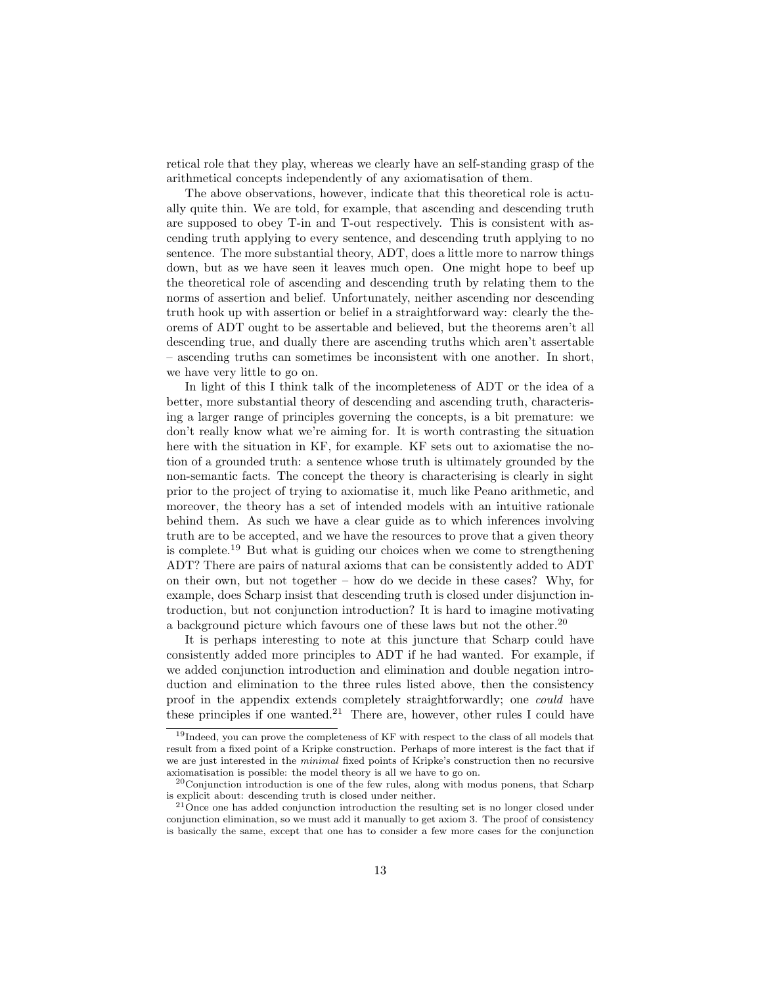retical role that they play, whereas we clearly have an self-standing grasp of the arithmetical concepts independently of any axiomatisation of them.

The above observations, however, indicate that this theoretical role is actually quite thin. We are told, for example, that ascending and descending truth are supposed to obey T-in and T-out respectively. This is consistent with ascending truth applying to every sentence, and descending truth applying to no sentence. The more substantial theory, ADT, does a little more to narrow things down, but as we have seen it leaves much open. One might hope to beef up the theoretical role of ascending and descending truth by relating them to the norms of assertion and belief. Unfortunately, neither ascending nor descending truth hook up with assertion or belief in a straightforward way: clearly the theorems of ADT ought to be assertable and believed, but the theorems aren't all descending true, and dually there are ascending truths which aren't assertable – ascending truths can sometimes be inconsistent with one another. In short, we have very little to go on.

In light of this I think talk of the incompleteness of ADT or the idea of a better, more substantial theory of descending and ascending truth, characterising a larger range of principles governing the concepts, is a bit premature: we don't really know what we're aiming for. It is worth contrasting the situation here with the situation in KF, for example. KF sets out to axiomatise the notion of a grounded truth: a sentence whose truth is ultimately grounded by the non-semantic facts. The concept the theory is characterising is clearly in sight prior to the project of trying to axiomatise it, much like Peano arithmetic, and moreover, the theory has a set of intended models with an intuitive rationale behind them. As such we have a clear guide as to which inferences involving truth are to be accepted, and we have the resources to prove that a given theory is complete.<sup>19</sup> But what is guiding our choices when we come to strengthening ADT? There are pairs of natural axioms that can be consistently added to ADT on their own, but not together – how do we decide in these cases? Why, for example, does Scharp insist that descending truth is closed under disjunction introduction, but not conjunction introduction? It is hard to imagine motivating a background picture which favours one of these laws but not the other.<sup>20</sup>

It is perhaps interesting to note at this juncture that Scharp could have consistently added more principles to ADT if he had wanted. For example, if we added conjunction introduction and elimination and double negation introduction and elimination to the three rules listed above, then the consistency proof in the appendix extends completely straightforwardly; one could have these principles if one wanted.<sup>21</sup> There are, however, other rules I could have

<sup>19</sup>Indeed, you can prove the completeness of KF with respect to the class of all models that result from a fixed point of a Kripke construction. Perhaps of more interest is the fact that if we are just interested in the minimal fixed points of Kripke's construction then no recursive axiomatisation is possible: the model theory is all we have to go on.

 $20$ Conjunction introduction is one of the few rules, along with modus ponens, that Scharp is explicit about: descending truth is closed under neither.

<sup>&</sup>lt;sup>21</sup>Once one has added conjunction introduction the resulting set is no longer closed under conjunction elimination, so we must add it manually to get axiom 3. The proof of consistency is basically the same, except that one has to consider a few more cases for the conjunction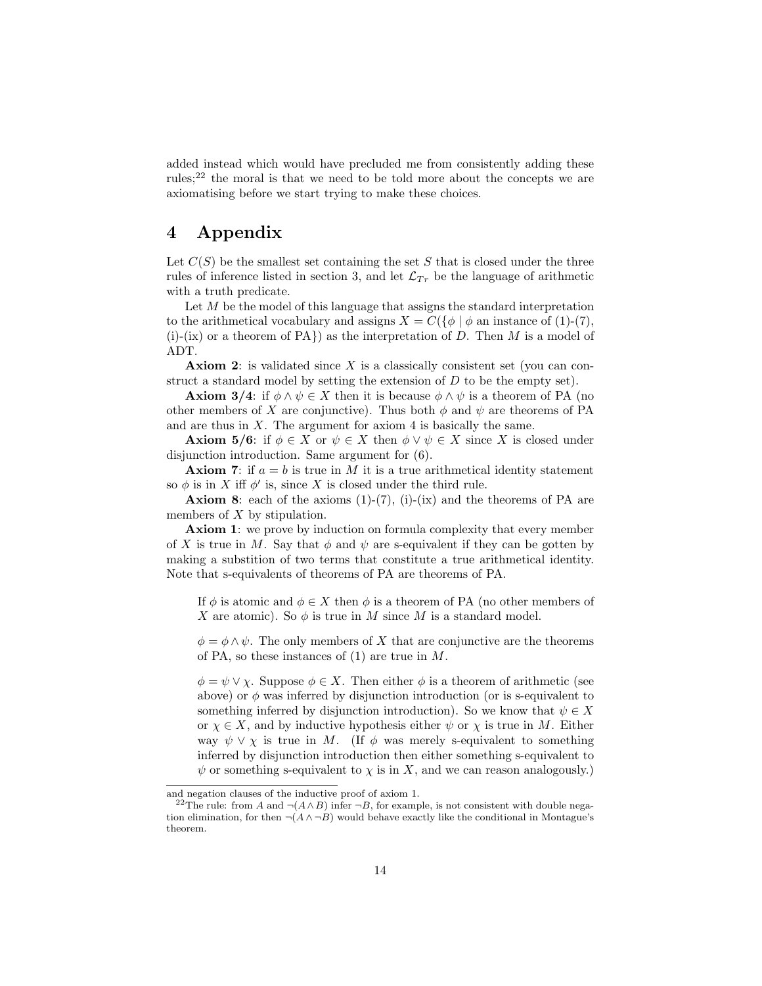added instead which would have precluded me from consistently adding these rules; $2<sup>2</sup>$  the moral is that we need to be told more about the concepts we are axiomatising before we start trying to make these choices.

## 4 Appendix

Let  $C(S)$  be the smallest set containing the set S that is closed under the three rules of inference listed in section 3, and let  $\mathcal{L}_{Tr}$  be the language of arithmetic with a truth predicate.

Let  $M$  be the model of this language that assigns the standard interpretation to the arithmetical vocabulary and assigns  $X = C({\phi \mid \phi \text{ an instance of (1)-(7)}},$ (i)-(ix) or a theorem of PA}) as the interpretation of D. Then M is a model of ADT.

**Axiom 2:** is validated since  $X$  is a classically consistent set (you can construct a standard model by setting the extension of  $D$  to be the empty set).

**Axiom 3/4:** if  $\phi \land \psi \in X$  then it is because  $\phi \land \psi$  is a theorem of PA (no other members of X are conjunctive). Thus both  $\phi$  and  $\psi$  are theorems of PA and are thus in  $X$ . The argument for axiom 4 is basically the same.

**Axiom 5/6:** if  $\phi \in X$  or  $\psi \in X$  then  $\phi \vee \psi \in X$  since X is closed under disjunction introduction. Same argument for (6).

**Axiom 7:** if  $a = b$  is true in M it is a true arithmetical identity statement so  $\phi$  is in X iff  $\phi'$  is, since X is closed under the third rule.

**Axiom 8:** each of the axioms  $(1)-(7)$ ,  $(i)-(ix)$  and the theorems of PA are members of  $X$  by stipulation.

Axiom 1: we prove by induction on formula complexity that every member of X is true in M. Say that  $\phi$  and  $\psi$  are s-equivalent if they can be gotten by making a substition of two terms that constitute a true arithmetical identity. Note that s-equivalents of theorems of PA are theorems of PA.

If  $\phi$  is atomic and  $\phi \in X$  then  $\phi$  is a theorem of PA (no other members of X are atomic). So  $\phi$  is true in M since M is a standard model.

 $\phi = \phi \wedge \psi$ . The only members of X that are conjunctive are the theorems of PA, so these instances of  $(1)$  are true in  $M$ .

 $\phi = \psi \vee \chi$ . Suppose  $\phi \in X$ . Then either  $\phi$  is a theorem of arithmetic (see above) or  $\phi$  was inferred by disjunction introduction (or is s-equivalent to something inferred by disjunction introduction). So we know that  $\psi \in X$ or  $\chi \in X$ , and by inductive hypothesis either  $\psi$  or  $\chi$  is true in M. Either way  $\psi \vee \chi$  is true in M. (If  $\phi$  was merely s-equivalent to something inferred by disjunction introduction then either something s-equivalent to  $\psi$  or something s-equivalent to  $\chi$  is in X, and we can reason analogously.)

and negation clauses of the inductive proof of axiom 1.

<sup>&</sup>lt;sup>22</sup>The rule: from A and  $\neg(A \wedge B)$  infer  $\neg B$ , for example, is not consistent with double negation elimination, for then  $\neg(A \land \neg B)$  would behave exactly like the conditional in Montague's theorem.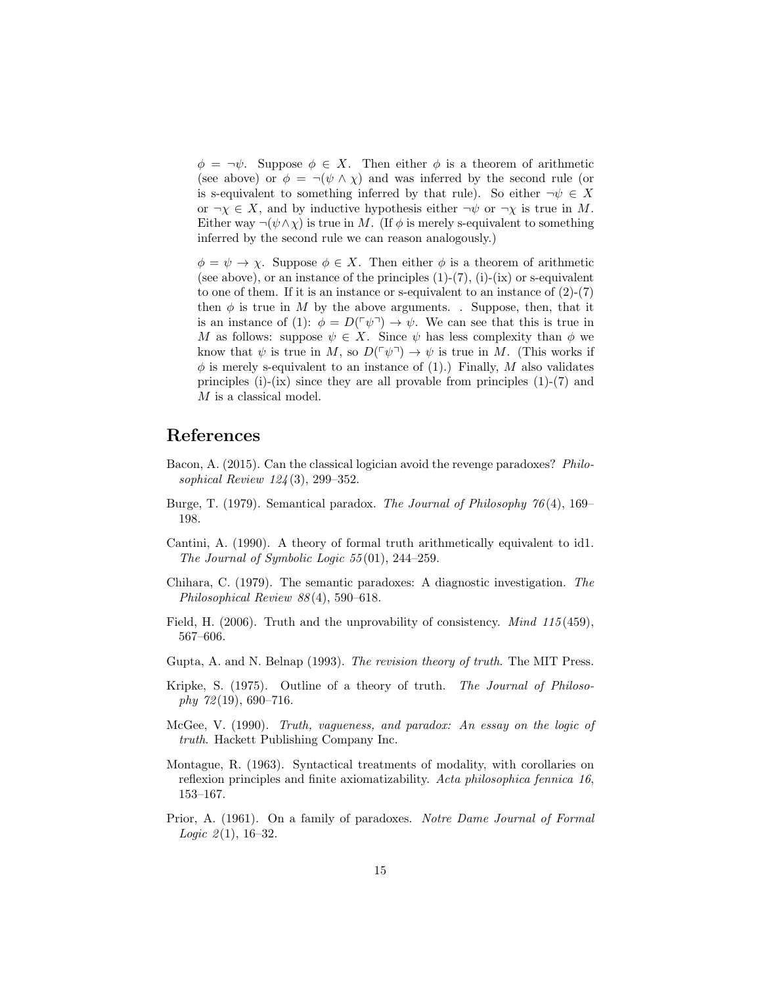$\phi = \neg \psi$ . Suppose  $\phi \in X$ . Then either  $\phi$  is a theorem of arithmetic (see above) or  $\phi = \neg(\psi \wedge \chi)$  and was inferred by the second rule (or is s-equivalent to something inferred by that rule). So either  $\neg \psi \in X$ or  $\neg \chi \in X$ , and by inductive hypothesis either  $\neg \psi$  or  $\neg \chi$  is true in M. Either way  $\neg(\psi \wedge \chi)$  is true in M. (If  $\phi$  is merely s-equivalent to something inferred by the second rule we can reason analogously.)

 $\phi = \psi \to \chi$ . Suppose  $\phi \in X$ . Then either  $\phi$  is a theorem of arithmetic (see above), or an instance of the principles  $(1)-(7)$ ,  $(i)-(ix)$  or s-equivalent to one of them. If it is an instance or s-equivalent to an instance of  $(2)-(7)$ then  $\phi$  is true in M by the above arguments. . Suppose, then, that it is an instance of (1):  $\phi = D(\ulcorner \psi \urcorner) \rightarrow \psi$ . We can see that this is true in M as follows: suppose  $\psi \in X$ . Since  $\psi$  has less complexity than  $\phi$  we know that  $\psi$  is true in M, so  $D(\ulcorner \psi \urcorner) \rightarrow \psi$  is true in M. (This works if  $\phi$  is merely s-equivalent to an instance of (1).) Finally, M also validates principles (i)-(ix) since they are all provable from principles  $(1)-(7)$  and M is a classical model.

### References

- Bacon, A. (2015). Can the classical logician avoid the revenge paradoxes? Philosophical Review 124 (3), 299–352.
- Burge, T. (1979). Semantical paradox. The Journal of Philosophy 76(4), 169– 198.
- Cantini, A. (1990). A theory of formal truth arithmetically equivalent to id1. The Journal of Symbolic Logic 55 (01), 244–259.
- Chihara, C. (1979). The semantic paradoxes: A diagnostic investigation. The Philosophical Review 88 (4), 590–618.
- Field, H. (2006). Truth and the unprovability of consistency. *Mind*  $115(459)$ , 567–606.
- Gupta, A. and N. Belnap (1993). The revision theory of truth. The MIT Press.
- Kripke, S. (1975). Outline of a theory of truth. The Journal of Philosophy  $72(19)$ , 690-716.
- McGee, V. (1990). Truth, vagueness, and paradox: An essay on the logic of truth. Hackett Publishing Company Inc.
- Montague, R. (1963). Syntactical treatments of modality, with corollaries on reflexion principles and finite axiomatizability. Acta philosophica fennica 16, 153–167.
- Prior, A. (1961). On a family of paradoxes. Notre Dame Journal of Formal Logic  $2(1)$ , 16-32.